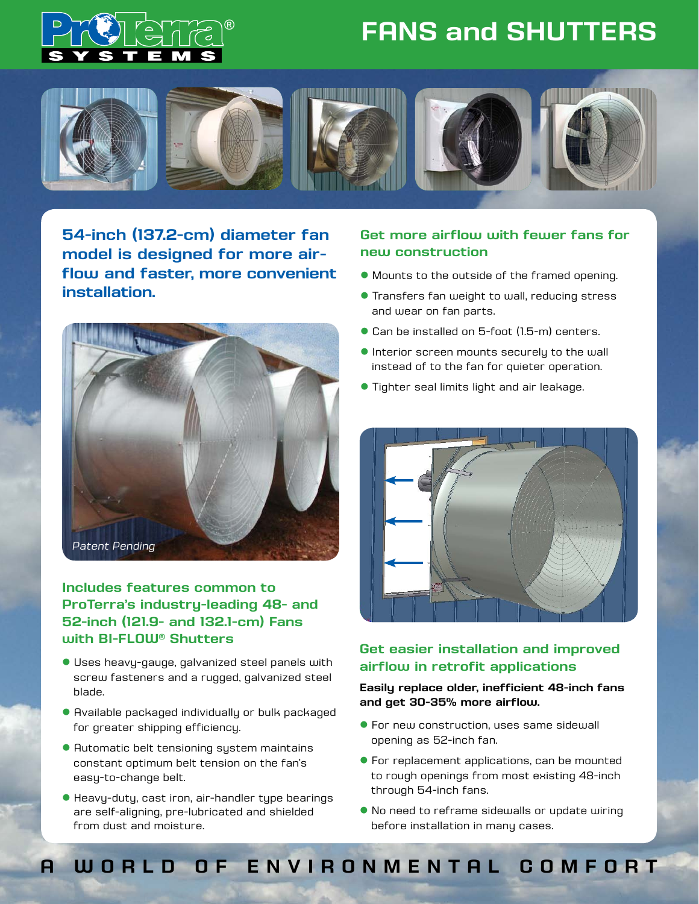

## **FANS and SHUTTERS**



**54-inch (137.2-cm) diameter fan model is designed for more airflow and faster, more convenient installation.**



**Includes features common to ProTerra's industry-leading 48- and 52-inch (121.9- and 132.1-cm) Fans with BI-FLOW® Shutters** 

- **I** Uses heavy-gauge, galvanized steel panels with screw fasteners and a rugged, galvanized steel blade.
- **Available packaged individually or bulk packaged** for greater shipping efficiency.
- **Automatic belt tensioning system maintains** constant optimum belt tension on the fan's easy-to-change belt.
- l Heavy-duty, cast iron, air-handler type bearings are self-aligning, pre-lubricated and shielded from dust and moisture.

### **Get more airflow with fewer fans for new construction**

- l Mounts to the outside of the framed opening.
- **Transfers fan weight to wall, reducing stress** and wear on fan parts.
- Can be installed on 5-foot (1.5-m) centers.
- **.** Interior screen mounts securely to the wall instead of to the fan for quieter operation.
- **Tighter seal limits light and air leakage.**



### **Get easier installation and improved airflow in retrofit applications**

#### **Easily replace older, inefficient 48-inch fans and get 30-35% more airflow.**

- **For new construction, uses same sidewall** opening as 52-inch fan.
- **For replacement applications, can be mounted** to rough openings from most existing 48-inch through 54-inch fans.
- **No need to reframe sidewalls or update wiring** before installation in many cases.

## **A WORLD OF ENVIRONMENTAL COMFORT**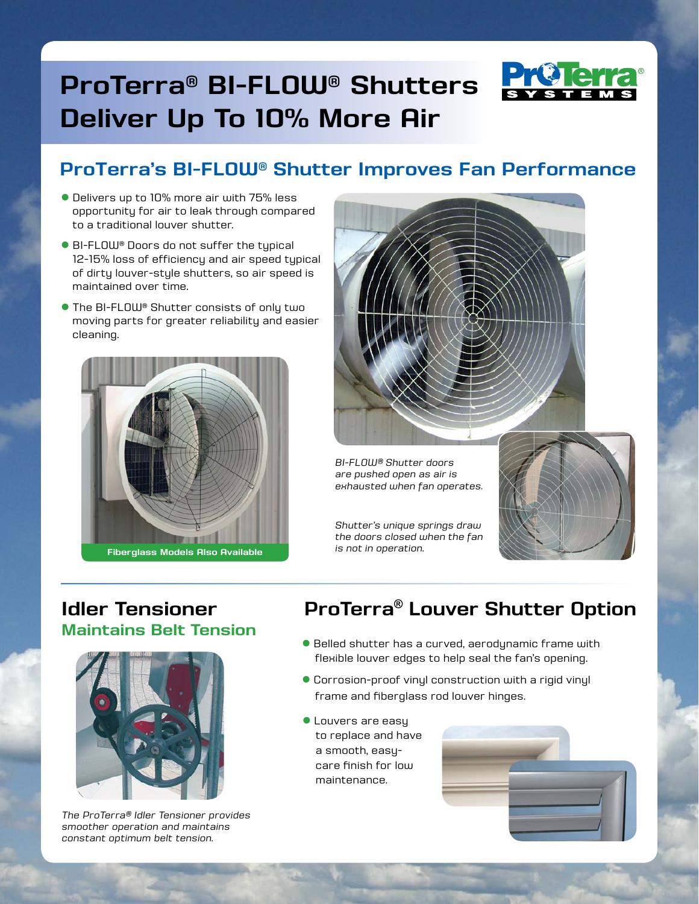# **ProTerra® BI-FLOW® Shutters Deliver Up To 10% More Air**



## **ProTerra's BI-FLOW® Shutter Improves Fan Performance**

- l Delivers up to 10% more air with 75% less opportunity for air to leak through compared to a traditional louver shutter.
- BI-FLOW® Doors do not suffer the typical 12-15% loss of efficiency and air speed typical of dirty louver-style shutters, so air speed is maintained over time.
- **The BI-FLOW® Shutter consists of only two** moving parts for greater reliability and easier cleaning.







*are pushed open as air is exhausted when fan operates.*

*Shutter's unique springs draw the doors closed when the fan is not in operation.*



### **Idler Tensioner Maintains Belt Tension**



*The ProTerra® Idler Tensioner provides smoother operation and maintains constant optimum belt tension.*

## **ProTerra® Louver Shutter Option**

- Belled shutter has a curved, aerodynamic frame with flexible louver edges to help seal the fan's opening.
- Corrosion-proof vinyl construction with a rigid vinyl frame and fiberglass rod louver hinges.
- **C** Louvers are easy to replace and have a smooth, easycare finish for low maintenance.

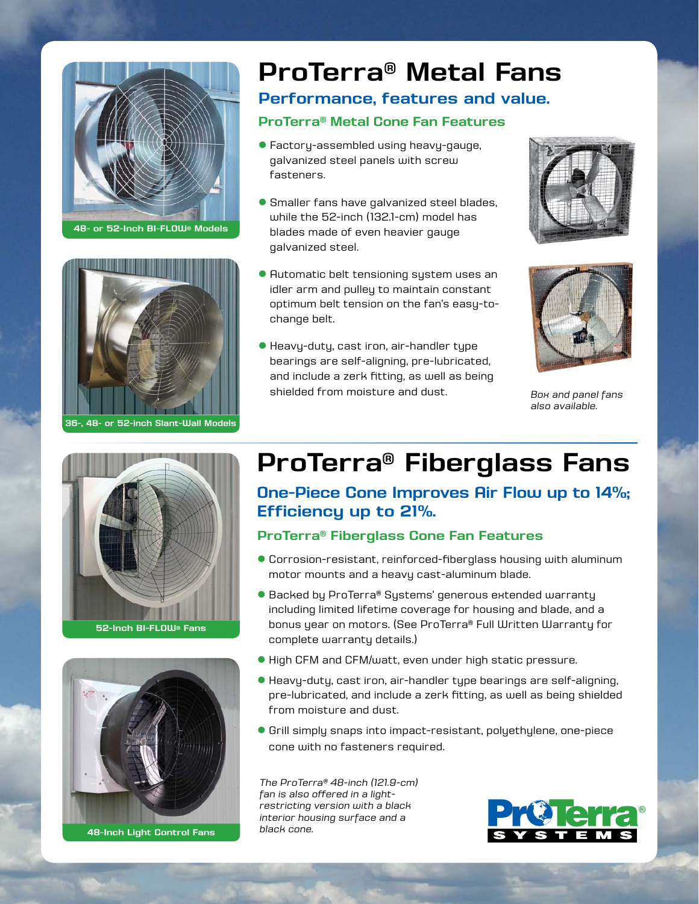

**48- or 52-Inch BI-FLOW® Models**



**36-, 48- or 52-inch Slant-Wall Models**

# **ProTerra® Metal Fans**

### **Performance, features and value.**

### **ProTerra® Metal Cone Fan Features**

- Factory-assembled using heavy-gauge, galvanized steel panels with screw fasteners.
- **Smaller fans have galvanized steel blades,** while the 52-inch (132.1-cm) model has blades made of even heavier gauge galvanized steel.
- **Automatic belt tensioning system uses an** idler arm and pulley to maintain constant optimum belt tension on the fan's easy-tochange belt.
- Heavy-duty, cast iron, air-handler type bearings are self-aligning, pre-lubricated, and include a zerk fitting, as well as being shielded from moisture and dust.





*Box and panel fans also available.*



**52-Inch BI-FLOW® Fans**



**48-Inch Light Control Fans**

## **ProTerra® Fiberglass Fans**

### **One-Piece Cone Improves Air Flow up to 14%; Efficiency up to 21%.**

#### **ProTerra® Fiberglass Cone Fan Features**

- Corrosion-resistant, reinforced-fiberglass housing with aluminum motor mounts and a heavy cast-aluminum blade.
- Backed by ProTerra® Systems' generous extended warranty including limited lifetime coverage for housing and blade, and a bonus year on motors. (See ProTerra® Full Written Warranty for complete warranty details.)
- High CFM and CFM/watt, even under high static pressure.
- Heavy-duty, cast iron, air-handler type bearings are self-aligning, pre-lubricated, and include a zerk fitting, as well as being shielded from moisture and dust.
- Grill simply snaps into impact-resistant, polyethylene, one-piece cone with no fasteners required.

*The ProTerra® 48-inch (121.9-cm) fan is also offered in a lightrestricting version with a black interior housing surface and a black cone.*